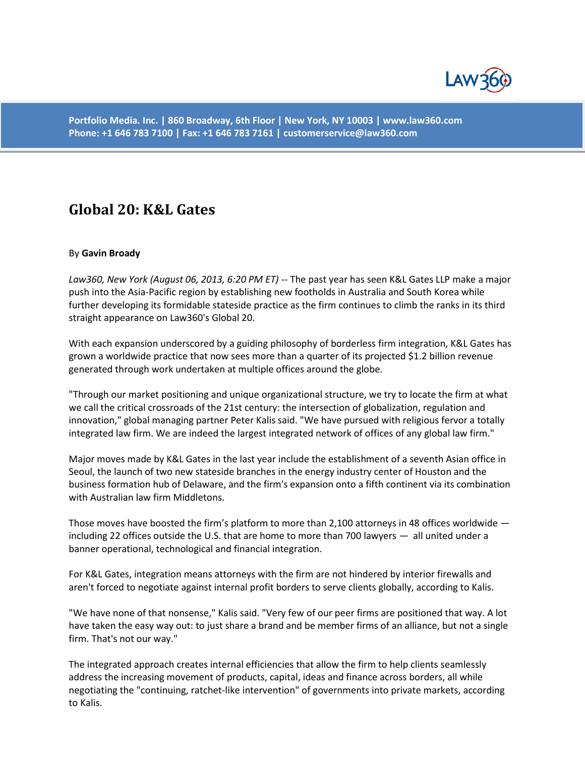

**Portfolio Media. Inc. | 860 Broadway, 6th Floor | New York, NY 10003 | www.law360.com Phone: +1 646 783 7100 | Fax: +1 646 783 7161 | customerservice@law360.com**

## **Global 20: K&L Gates**

## By **Gavin Broady**

*Law360, New York (August 06, 2013, 6:20 PM ET)* -- The past year has seen K&L Gates LLP make a major push into the Asia-Pacific region by establishing new footholds in Australia and South Korea while further developing its formidable stateside practice as the firm continues to climb the ranks in its third straight appearance on Law360's Global 20.

With each expansion underscored by a guiding philosophy of borderless firm integration, K&L Gates has grown a worldwide practice that now sees more than a quarter of its projected \$1.2 billion revenue generated through work undertaken at multiple offices around the globe.

"Through our market positioning and unique organizational structure, we try to locate the firm at what we call the critical crossroads of the 21st century: the intersection of globalization, regulation and innovation," global managing partner Peter Kalis said. "We have pursued with religious fervor a totally integrated law firm. We are indeed the largest integrated network of offices of any global law firm."

Major moves made by K&L Gates in the last year include the establishment of a seventh Asian office in Seoul, the launch of two new stateside branches in the energy industry center of Houston and the business formation hub of Delaware, and the firm's expansion onto a fifth continent via its combination with Australian law firm Middletons.

Those moves have boosted the firm's platform to more than 2,100 attorneys in 48 offices worldwide including 22 offices outside the U.S. that are home to more than 700 lawyers — all united under a banner operational, technological and financial integration.

For K&L Gates, integration means attorneys with the firm are not hindered by interior firewalls and aren't forced to negotiate against internal profit borders to serve clients globally, according to Kalis.

"We have none of that nonsense," Kalis said. "Very few of our peer firms are positioned that way. A lot have taken the easy way out: to just share a brand and be member firms of an alliance, but not a single firm. That's not our way."

The integrated approach creates internal efficiencies that allow the firm to help clients seamlessly address the increasing movement of products, capital, ideas and finance across borders, all while negotiating the "continuing, ratchet-like intervention" of governments into private markets, according to Kalis.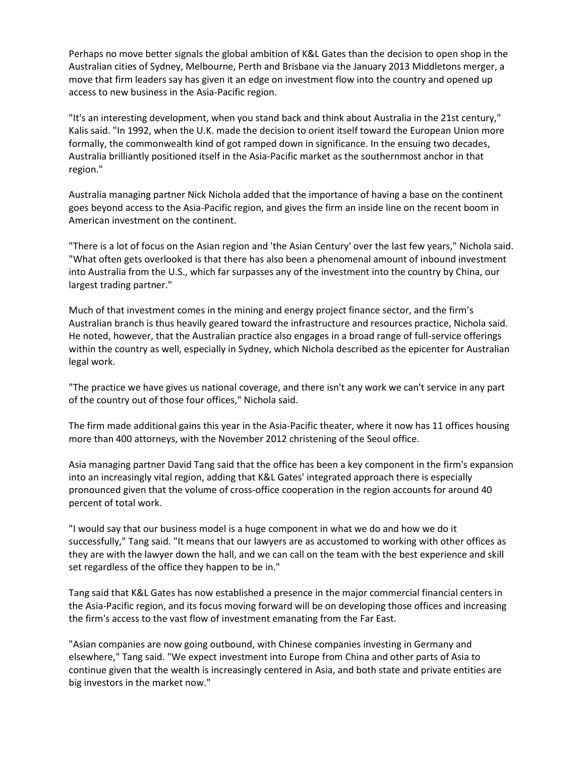Perhaps no move better signals the global ambition of K&L Gates than the decision to open shop in the Australian cities of Sydney, Melbourne, Perth and Brisbane via the January 2013 Middletons merger, a move that firm leaders say has given it an edge on investment flow into the country and opened up access to new business in the Asia-Pacific region.

"It's an interesting development, when you stand back and think about Australia in the 21st century," Kalis said. "In 1992, when the U.K. made the decision to orient itself toward the European Union more formally, the commonwealth kind of got ramped down in significance. In the ensuing two decades, Australia brilliantly positioned itself in the Asia-Pacific market as the southernmost anchor in that region."

Australia managing partner Nick Nichola added that the importance of having a base on the continent goes beyond access to the Asia-Pacific region, and gives the firm an inside line on the recent boom in American investment on the continent.

"There is a lot of focus on the Asian region and 'the Asian Century' over the last few years," Nichola said. "What often gets overlooked is that there has also been a phenomenal amount of inbound investment into Australia from the U.S., which far surpasses any of the investment into the country by China, our largest trading partner."

Much of that investment comes in the mining and energy project finance sector, and the firm's Australian branch is thus heavily geared toward the infrastructure and resources practice, Nichola said. He noted, however, that the Australian practice also engages in a broad range of full-service offerings within the country as well, especially in Sydney, which Nichola described as the epicenter for Australian legal work.

"The practice we have gives us national coverage, and there isn't any work we can't service in any part of the country out of those four offices," Nichola said.

The firm made additional gains this year in the Asia-Pacific theater, where it now has 11 offices housing more than 400 attorneys, with the November 2012 christening of the Seoul office.

Asia managing partner David Tang said that the office has been a key component in the firm's expansion into an increasingly vital region, adding that K&L Gates' integrated approach there is especially pronounced given that the volume of cross-office cooperation in the region accounts for around 40 percent of total work.

"I would say that our business model is a huge component in what we do and how we do it successfully," Tang said. "It means that our lawyers are as accustomed to working with other offices as they are with the lawyer down the hall, and we can call on the team with the best experience and skill set regardless of the office they happen to be in."

Tang said that K&L Gates has now established a presence in the major commercial financial centers in the Asia-Pacific region, and its focus moving forward will be on developing those offices and increasing the firm's access to the vast flow of investment emanating from the Far East.

"Asian companies are now going outbound, with Chinese companies investing in Germany and elsewhere," Tang said. "We expect investment into Europe from China and other parts of Asia to continue given that the wealth is increasingly centered in Asia, and both state and private entities are big investors in the market now."